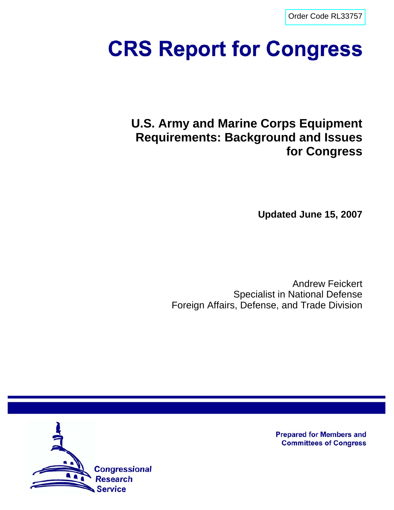[Order Code RL33757](http://www.fas.org/sgp/crs/weapons/index.html)

# **CRS Report for Congress**

**U.S. Army and Marine Corps Equipment Requirements: Background and Issues for Congress**

**Updated June 15, 2007**

Andrew Feickert Specialist in National Defense Foreign Affairs, Defense, and Trade Division



**Prepared for Members and Committees of Congress**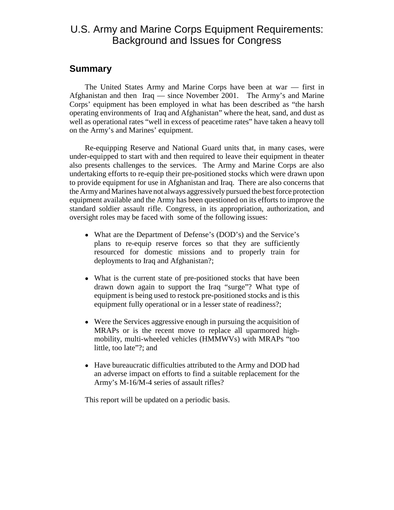## U.S. Army and Marine Corps Equipment Requirements: Background and Issues for Congress

## **Summary**

The United States Army and Marine Corps have been at war — first in Afghanistan and then Iraq — since November 2001. The Army's and Marine Corps' equipment has been employed in what has been described as "the harsh operating environments of Iraq and Afghanistan" where the heat, sand, and dust as well as operational rates "well in excess of peacetime rates" have taken a heavy toll on the Army's and Marines' equipment.

Re-equipping Reserve and National Guard units that, in many cases, were under-equipped to start with and then required to leave their equipment in theater also presents challenges to the services. The Army and Marine Corps are also undertaking efforts to re-equip their pre-positioned stocks which were drawn upon to provide equipment for use in Afghanistan and Iraq. There are also concerns that the Army and Marines have not always aggressively pursued the best force protection equipment available and the Army has been questioned on its efforts to improve the standard soldier assault rifle. Congress, in its appropriation, authorization, and oversight roles may be faced with some of the following issues:

- What are the Department of Defense's (DOD's) and the Service's plans to re-equip reserve forces so that they are sufficiently resourced for domestic missions and to properly train for deployments to Iraq and Afghanistan?;
- What is the current state of pre-positioned stocks that have been drawn down again to support the Iraq "surge"? What type of equipment is being used to restock pre-positioned stocks and is this equipment fully operational or in a lesser state of readiness?;
- Were the Services aggressive enough in pursuing the acquisition of MRAPs or is the recent move to replace all uparmored highmobility, multi-wheeled vehicles (HMMWVs) with MRAPs "too little, too late"?; and
- ! Have bureaucratic difficulties attributed to the Army and DOD had an adverse impact on efforts to find a suitable replacement for the Army's M-16/M-4 series of assault rifles?

This report will be updated on a periodic basis.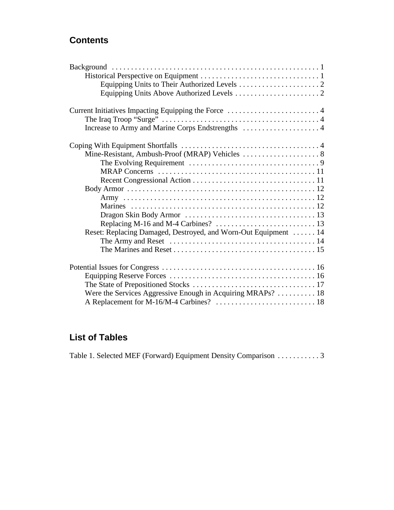## **Contents**

| Current Initiatives Impacting Equipping the Force 4                                                         |  |
|-------------------------------------------------------------------------------------------------------------|--|
|                                                                                                             |  |
|                                                                                                             |  |
|                                                                                                             |  |
|                                                                                                             |  |
|                                                                                                             |  |
|                                                                                                             |  |
|                                                                                                             |  |
|                                                                                                             |  |
|                                                                                                             |  |
|                                                                                                             |  |
|                                                                                                             |  |
|                                                                                                             |  |
| Reset: Replacing Damaged, Destroyed, and Worn-Out Equipment  14                                             |  |
| The Army and Reset $\dots \dots \dots \dots \dots \dots \dots \dots \dots \dots \dots \dots \dots \dots 14$ |  |
|                                                                                                             |  |
|                                                                                                             |  |
|                                                                                                             |  |
|                                                                                                             |  |
|                                                                                                             |  |
| Were the Services Aggressive Enough in Acquiring MRAPs?  18                                                 |  |

## **List of Tables**

Table 1. Selected MEF (Forward) Equipment Density Comparison . . . . . . . . . . . 3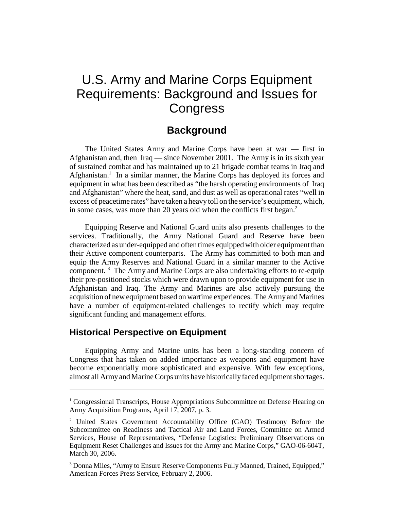## U.S. Army and Marine Corps Equipment Requirements: Background and Issues for **Congress**

## **Background**

The United States Army and Marine Corps have been at war — first in Afghanistan and, then Iraq — since November 2001. The Army is in its sixth year of sustained combat and has maintained up to 21 brigade combat teams in Iraq and Afghanistan.<sup>1</sup> In a similar manner, the Marine Corps has deployed its forces and equipment in what has been described as "the harsh operating environments of Iraq and Afghanistan" where the heat, sand, and dust as well as operational rates "well in excess of peacetime rates" have taken a heavy toll on the service's equipment, which, in some cases, was more than 20 years old when the conflicts first began. $<sup>2</sup>$ </sup>

Equipping Reserve and National Guard units also presents challenges to the services. Traditionally, the Army National Guard and Reserve have been characterized as under-equipped and often times equipped with older equipment than their Active component counterparts. The Army has committed to both man and equip the Army Reserves and National Guard in a similar manner to the Active component.<sup>3</sup> The Army and Marine Corps are also undertaking efforts to re-equip their pre-positioned stocks which were drawn upon to provide equipment for use in Afghanistan and Iraq. The Army and Marines are also actively pursuing the acquisition of new equipment based on wartime experiences. The Army and Marines have a number of equipment-related challenges to rectify which may require significant funding and management efforts.

#### **Historical Perspective on Equipment**

Equipping Army and Marine units has been a long-standing concern of Congress that has taken on added importance as weapons and equipment have become exponentially more sophisticated and expensive. With few exceptions, almost all Army and Marine Corps units have historically faced equipment shortages.

<sup>&</sup>lt;sup>1</sup> Congressional Transcripts, House Appropriations Subcommittee on Defense Hearing on Army Acquisition Programs, April 17, 2007, p. 3.

<sup>&</sup>lt;sup>2</sup> United States Government Accountability Office (GAO) Testimony Before the Subcommittee on Readiness and Tactical Air and Land Forces, Committee on Armed Services, House of Representatives, "Defense Logistics: Preliminary Observations on Equipment Reset Challenges and Issues for the Army and Marine Corps," GAO-06-604T, March 30, 2006.

<sup>&</sup>lt;sup>3</sup> Donna Miles, "Army to Ensure Reserve Components Fully Manned, Trained, Equipped," American Forces Press Service, February 2, 2006.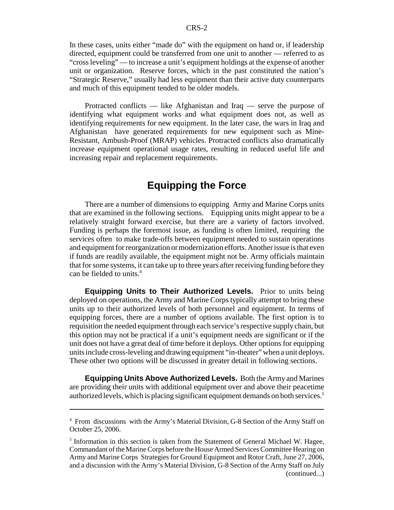In these cases, units either "made do" with the equipment on hand or, if leadership directed, equipment could be transferred from one unit to another — referred to as "cross leveling" — to increase a unit's equipment holdings at the expense of another unit or organization. Reserve forces, which in the past constituted the nation's "Strategic Reserve," usually had less equipment than their active duty counterparts and much of this equipment tended to be older models.

Protracted conflicts — like Afghanistan and Iraq — serve the purpose of identifying what equipment works and what equipment does not, as well as identifying requirements for new equipment. In the later case, the wars in Iraq and Afghanistan have generated requirements for new equipment such as Mine-Resistant, Ambush-Proof (MRAP) vehicles. Protracted conflicts also dramatically increase equipment operational usage rates, resulting in reduced useful life and increasing repair and replacement requirements.

## **Equipping the Force**

There are a number of dimensions to equipping Army and Marine Corps units that are examined in the following sections. Equipping units might appear to be a relatively straight forward exercise, but there are a variety of factors involved. Funding is perhaps the foremost issue, as funding is often limited, requiring the services often to make trade-offs between equipment needed to sustain operations and equipment for reorganization or modernization efforts. Another issue is that even if funds are readily available, the equipment might not be. Army officials maintain that for some systems, it can take up to three years after receiving funding before they can be fielded to units.<sup>4</sup>

**Equipping Units to Their Authorized Levels.** Prior to units being deployed on operations, the Army and Marine Corps typically attempt to bring these units up to their authorized levels of both personnel and equipment. In terms of equipping forces, there are a number of options available. The first option is to requisition the needed equipment through each service's respective supply chain, but this option may not be practical if a unit's equipment needs are significant or if the unit does not have a great deal of time before it deploys. Other options for equipping units include cross-leveling and drawing equipment "in-theater" when a unit deploys. These other two options will be discussed in greater detail in following sections.

**Equipping Units Above Authorized Levels.** Both the Army and Marines are providing their units with additional equipment over and above their peacetime authorized levels, which is placing significant equipment demands on both services.<sup>5</sup>

<sup>&</sup>lt;sup>4</sup> From discussions with the Army's Material Division, G-8 Section of the Army Staff on October 25, 2006.

<sup>&</sup>lt;sup>5</sup> Information in this section is taken from the Statement of General Michael W. Hagee, Commandant of the Marine Corps before the House Armed Services Committee Hearing on Army and Marine Corps Strategies for Ground Equipment and Rotor Craft, June 27, 2006, and a discussion with the Army's Material Division, G-8 Section of the Army Staff on July (continued...)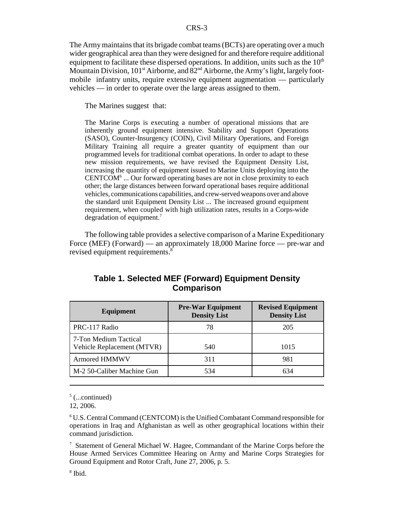The Army maintains that its brigade combat teams (BCTs) are operating over a much wider geographical area than they were designed for and therefore require additional equipment to facilitate these dispersed operations. In addition, units such as the  $10<sup>th</sup>$ Mountain Division,  $101<sup>st</sup>$  Airborne, and  $82<sup>nd</sup>$  Airborne, the Army's light, largely footmobile infantry units, require extensive equipment augmentation — particularly vehicles — in order to operate over the large areas assigned to them.

The Marines suggest that:

The Marine Corps is executing a number of operational missions that are inherently ground equipment intensive. Stability and Support Operations (SASO), Counter-Insurgency (COIN), Civil Military Operations, and Foreign Military Training all require a greater quantity of equipment than our programmed levels for traditional combat operations. In order to adapt to these new mission requirements, we have revised the Equipment Density List, increasing the quantity of equipment issued to Marine Units deploying into the  $CENTCOM<sup>6</sup>$  ... Our forward operating bases are not in close proximity to each other; the large distances between forward operational bases require additional vehicles, communications capabilities, and crew-served weapons over and above the standard unit Equipment Density List ... The increased ground equipment requirement, when coupled with high utilization rates, results in a Corps-wide degradation of equipment.<sup>7</sup>

The following table provides a selective comparison of a Marine Expeditionary Force (MEF) (Forward) — an approximately 18,000 Marine force — pre-war and revised equipment requirements.<sup>8</sup>

| <b>Equipment</b>                                    | <b>Pre-War Equipment</b><br><b>Density List</b> | <b>Revised Equipment</b><br><b>Density List</b> |
|-----------------------------------------------------|-------------------------------------------------|-------------------------------------------------|
| PRC-117 Radio                                       | 78                                              | 205                                             |
| 7-Ton Medium Tactical<br>Vehicle Replacement (MTVR) | 540                                             | 1015                                            |
| <b>Armored HMMWV</b>                                | 311                                             | 981                                             |
| M-2 50-Caliber Machine Gun                          | 534                                             | 634                                             |

#### **Table 1. Selected MEF (Forward) Equipment Density Comparison**

 $5$  (...continued)

12, 2006.

6 U.S. Central Command (CENTCOM) is the Unified Combatant Command responsible for operations in Iraq and Afghanistan as well as other geographical locations within their command jurisdiction.

<sup>7</sup> Statement of General Michael W. Hagee, Commandant of the Marine Corps before the House Armed Services Committee Hearing on Army and Marine Corps Strategies for Ground Equipment and Rotor Craft, June 27, 2006, p. 5.

8 Ibid.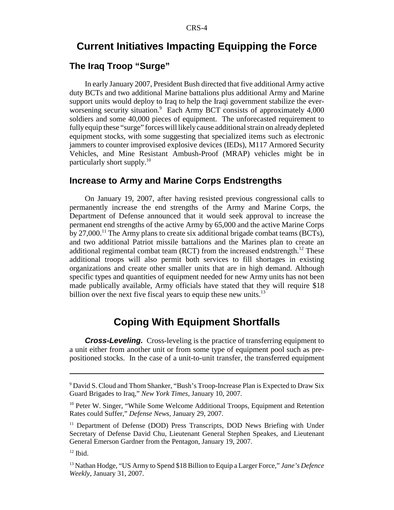## **Current Initiatives Impacting Equipping the Force**

#### **The Iraq Troop "Surge"**

In early January 2007, President Bush directed that five additional Army active duty BCTs and two additional Marine battalions plus additional Army and Marine support units would deploy to Iraq to help the Iraqi government stabilize the everworsening security situation.<sup>9</sup> Each Army BCT consists of approximately 4,000 soldiers and some 40,000 pieces of equipment. The unforecasted requirement to fully equip these "surge" forces will likely cause additional strain on already depleted equipment stocks, with some suggesting that specialized items such as electronic jammers to counter improvised explosive devices (IEDs), M117 Armored Security Vehicles, and Mine Resistant Ambush-Proof (MRAP) vehicles might be in particularly short supply.10

#### **Increase to Army and Marine Corps Endstrengths**

On January 19, 2007, after having resisted previous congressional calls to permanently increase the end strengths of the Army and Marine Corps, the Department of Defense announced that it would seek approval to increase the permanent end strengths of the active Army by 65,000 and the active Marine Corps by 27,000.<sup>11</sup> The Army plans to create six additional brigade combat teams (BCTs), and two additional Patriot missile battalions and the Marines plan to create an additional regimental combat team (RCT) from the increased endstrength.<sup>12</sup> These additional troops will also permit both services to fill shortages in existing organizations and create other smaller units that are in high demand. Although specific types and quantities of equipment needed for new Army units has not been made publically available, Army officials have stated that they will require \$18 billion over the next five fiscal years to equip these new units. $13$ 

## **Coping With Equipment Shortfalls**

**Cross-Leveling.** Cross-leveling is the practice of transferring equipment to a unit either from another unit or from some type of equipment pool such as prepositioned stocks. In the case of a unit-to-unit transfer, the transferred equipment

<sup>&</sup>lt;sup>9</sup> David S. Cloud and Thom Shanker, "Bush's Troop-Increase Plan is Expected to Draw Six Guard Brigades to Iraq," *New York Times,* January 10, 2007.

<sup>&</sup>lt;sup>10</sup> Peter W. Singer, "While Some Welcome Additional Troops, Equipment and Retention Rates could Suffer," *Defense News,* January 29, 2007.

<sup>&</sup>lt;sup>11</sup> Department of Defense (DOD) Press Transcripts, DOD News Briefing with Under Secretary of Defense David Chu, Lieutenant General Stephen Speakes, and Lieutenant General Emerson Gardner from the Pentagon, January 19, 2007.

 $12$  Ibid.

<sup>&</sup>lt;sup>13</sup> Nathan Hodge, "US Army to Spend \$18 Billion to Equip a Larger Force," Jane's Defence *Weekly*, January 31, 2007.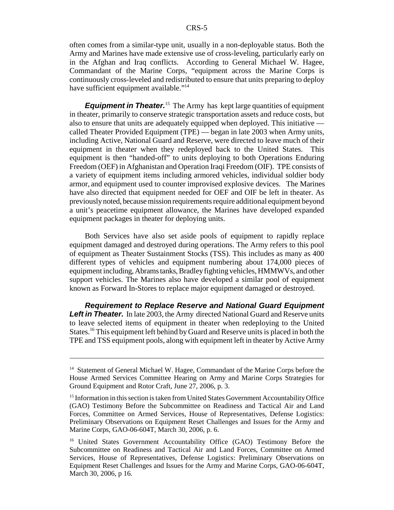often comes from a similar-type unit, usually in a non-deployable status. Both the Army and Marines have made extensive use of cross-leveling, particularly early on in the Afghan and Iraq conflicts. According to General Michael W. Hagee, Commandant of the Marine Corps, "equipment across the Marine Corps is continuously cross-leveled and redistributed to ensure that units preparing to deploy have sufficient equipment available."<sup>14</sup>

*Equipment in Theater.*<sup>15</sup> The Army has kept large quantities of equipment in theater, primarily to conserve strategic transportation assets and reduce costs, but also to ensure that units are adequately equipped when deployed. This initiative called Theater Provided Equipment (TPE) — began in late 2003 when Army units, including Active, National Guard and Reserve, were directed to leave much of their equipment in theater when they redeployed back to the United States. This equipment is then "handed-off" to units deploying to both Operations Enduring Freedom (OEF) in Afghanistan and Operation Iraqi Freedom (OIF). TPE consists of a variety of equipment items including armored vehicles, individual soldier body armor, and equipment used to counter improvised explosive devices. The Marines have also directed that equipment needed for OEF and OIF be left in theater. As previously noted, because mission requirements require additional equipment beyond a unit's peacetime equipment allowance, the Marines have developed expanded equipment packages in theater for deploying units.

Both Services have also set aside pools of equipment to rapidly replace equipment damaged and destroyed during operations. The Army refers to this pool of equipment as Theater Sustainment Stocks (TSS). This includes as many as 400 different types of vehicles and equipment numbering about 174,000 pieces of equipment including, Abrams tanks, Bradley fighting vehicles, HMMWVs, and other support vehicles. The Marines also have developed a similar pool of equipment known as Forward In-Stores to replace major equipment damaged or destroyed.

*Requirement to Replace Reserve and National Guard Equipment* **Left in Theater.** In late 2003, the Army directed National Guard and Reserve units to leave selected items of equipment in theater when redeploying to the United States.<sup>16</sup> This equipment left behind by Guard and Reserve units is placed in both the TPE and TSS equipment pools, along with equipment left in theater by Active Army

<sup>&</sup>lt;sup>14</sup> Statement of General Michael W. Hagee, Commandant of the Marine Corps before the House Armed Services Committee Hearing on Army and Marine Corps Strategies for Ground Equipment and Rotor Craft, June 27, 2006, p. 3.

<sup>&</sup>lt;sup>15</sup> Information in this section is taken from United States Government Accountability Office (GAO) Testimony Before the Subcommittee on Readiness and Tactical Air and Land Forces, Committee on Armed Services, House of Representatives, Defense Logistics: Preliminary Observations on Equipment Reset Challenges and Issues for the Army and Marine Corps, GAO-06-604T, March 30, 2006, p. 6.

<sup>&</sup>lt;sup>16</sup> United States Government Accountability Office (GAO) Testimony Before the Subcommittee on Readiness and Tactical Air and Land Forces, Committee on Armed Services, House of Representatives, Defense Logistics: Preliminary Observations on Equipment Reset Challenges and Issues for the Army and Marine Corps, GAO-06-604T, March 30, 2006, p 16.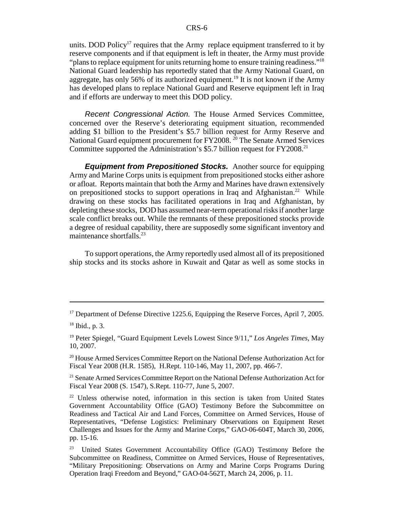units. DOD Policy<sup>17</sup> requires that the Army replace equipment transferred to it by reserve components and if that equipment is left in theater, the Army must provide "plans to replace equipment for units returning home to ensure training readiness."<sup>18</sup> National Guard leadership has reportedly stated that the Army National Guard, on aggregate, has only 56% of its authorized equipment.<sup>19</sup> It is not known if the Army has developed plans to replace National Guard and Reserve equipment left in Iraq and if efforts are underway to meet this DOD policy.

*Recent Congressional Action.* The House Armed Services Committee, concerned over the Reserve's deteriorating equipment situation, recommended adding \$1 billion to the President's \$5.7 billion request for Army Reserve and National Guard equipment procurement for FY2008.<sup>20</sup> The Senate Armed Services Committee supported the Administration's \$5.7 billion request for FY2008.<sup>21</sup>

*Equipment from Prepositioned Stocks.* Another source for equipping Army and Marine Corps units is equipment from prepositioned stocks either ashore or afloat. Reports maintain that both the Army and Marines have drawn extensively on prepositioned stocks to support operations in Iraq and Afghanistan.<sup>22</sup> While drawing on these stocks has facilitated operations in Iraq and Afghanistan, by depleting these stocks, DOD has assumed near-term operational risks if another large scale conflict breaks out. While the remnants of these prepositioned stocks provide a degree of residual capability, there are supposedly some significant inventory and maintenance shortfalls. $^{23}$ 

To support operations, the Army reportedly used almost all of its prepositioned ship stocks and its stocks ashore in Kuwait and Qatar as well as some stocks in

<sup>&</sup>lt;sup>17</sup> Department of Defense Directive 1225.6, Equipping the Reserve Forces, April 7, 2005.

<sup>18</sup> Ibid., p. 3.

<sup>19</sup> Peter Spiegel, "Guard Equipment Levels Lowest Since 9/11," *Los Angeles Times,* May 10, 2007.

<sup>&</sup>lt;sup>20</sup> House Armed Services Committee Report on the National Defense Authorization Act for Fiscal Year 2008 (H.R. 1585), H.Rept. 110-146, May 11, 2007, pp. 466-7.

<sup>&</sup>lt;sup>21</sup> Senate Armed Services Committee Report on the National Defense Authorization Act for Fiscal Year 2008 (S. 1547), S.Rept. 110-77, June 5, 2007.

<sup>&</sup>lt;sup>22</sup> Unless otherwise noted, information in this section is taken from United States Government Accountability Office (GAO) Testimony Before the Subcommittee on Readiness and Tactical Air and Land Forces, Committee on Armed Services, House of Representatives, "Defense Logistics: Preliminary Observations on Equipment Reset Challenges and Issues for the Army and Marine Corps," GAO-06-604T, March 30, 2006, pp. 15-16.

<sup>&</sup>lt;sup>23</sup> United States Government Accountability Office (GAO) Testimony Before the Subcommittee on Readiness, Committee on Armed Services, House of Representatives, "Military Prepositioning: Observations on Army and Marine Corps Programs During Operation Iraqi Freedom and Beyond," GAO-04-562T, March 24, 2006, p. 11.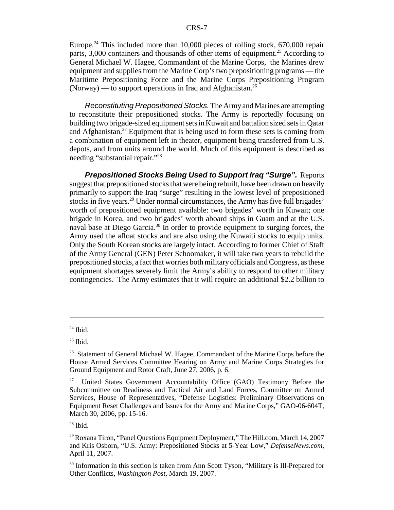Europe.<sup>24</sup> This included more than 10,000 pieces of rolling stock, 670,000 repair parts, 3,000 containers and thousands of other items of equipment.<sup>25</sup> According to General Michael W. Hagee, Commandant of the Marine Corps, the Marines drew equipment and supplies from the Marine Corp's two prepositioning programs — the Maritime Prepositioning Force and the Marine Corps Prepositioning Program (Norway) — to support operations in Iraq and Afghanistan.<sup>26</sup>

*Reconstituting Prepositioned Stocks.* The Army and Marines are attempting to reconstitute their prepositioned stocks. The Army is reportedly focusing on building two brigade-sized equipment sets in Kuwait and battalion sized sets in Qatar and Afghanistan.<sup>27</sup> Equipment that is being used to form these sets is coming from a combination of equipment left in theater, equipment being transferred from U.S. depots, and from units around the world. Much of this equipment is described as needing "substantial repair."28

*Prepositioned Stocks Being Used to Support Iraq "Surge".* Reports suggest that prepositioned stocks that were being rebuilt, have been drawn on heavily primarily to support the Iraq "surge" resulting in the lowest level of prepositioned stocks in five years.<sup>29</sup> Under normal circumstances, the Army has five full brigades' worth of prepositioned equipment available: two brigades' worth in Kuwait; one brigade in Korea, and two brigades' worth aboard ships in Guam and at the U.S. naval base at Diego Garcia.<sup>30</sup> In order to provide equipment to surging forces, the Army used the afloat stocks and are also using the Kuwaiti stocks to equip units. Only the South Korean stocks are largely intact. According to former Chief of Staff of the Army General (GEN) Peter Schoomaker, it will take two years to rebuild the prepositioned stocks, a fact that worries both military officials and Congress, as these equipment shortages severely limit the Army's ability to respond to other military contingencies. The Army estimates that it will require an additional \$2.2 billion to

 $24$  Ibid.

 $25$  Ibid.

<sup>&</sup>lt;sup>26</sup> Statement of General Michael W. Hagee, Commandant of the Marine Corps before the House Armed Services Committee Hearing on Army and Marine Corps Strategies for Ground Equipment and Rotor Craft, June 27, 2006, p. 6.

<sup>&</sup>lt;sup>27</sup> United States Government Accountability Office (GAO) Testimony Before the Subcommittee on Readiness and Tactical Air and Land Forces, Committee on Armed Services, House of Representatives, "Defense Logistics: Preliminary Observations on Equipment Reset Challenges and Issues for the Army and Marine Corps," GAO-06-604T, March 30, 2006, pp. 15-16.

 $28$  Ibid.

<sup>29</sup> Roxana Tiron, "Panel Questions Equipment Deployment," The Hill.com, March 14, 2007 and Kris Osborn, "U.S. Army: Prepositioned Stocks at 5-Year Low," *DefenseNews.com*, April 11, 2007.

<sup>&</sup>lt;sup>30</sup> Information in this section is taken from Ann Scott Tyson, "Military is Ill-Prepared for Other Conflicts, *Washington Post,* March 19, 2007.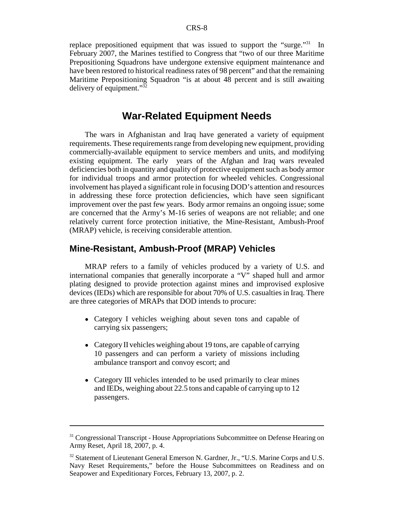replace prepositioned equipment that was issued to support the "surge."<sup>31</sup> In February 2007, the Marines testified to Congress that "two of our three Maritime Prepositioning Squadrons have undergone extensive equipment maintenance and have been restored to historical readiness rates of 98 percent" and that the remaining Maritime Prepositioning Squadron "is at about 48 percent and is still awaiting delivery of equipment."32

## **War-Related Equipment Needs**

The wars in Afghanistan and Iraq have generated a variety of equipment requirements. These requirements range from developing new equipment, providing commercially-available equipment to service members and units, and modifying existing equipment. The early years of the Afghan and Iraq wars revealed deficiencies both in quantity and quality of protective equipment such as body armor for individual troops and armor protection for wheeled vehicles. Congressional involvement has played a significant role in focusing DOD's attention and resources in addressing these force protection deficiencies, which have seen significant improvement over the past few years. Body armor remains an ongoing issue; some are concerned that the Army's M-16 series of weapons are not reliable; and one relatively current force protection initiative, the Mine-Resistant, Ambush-Proof (MRAP) vehicle, is receiving considerable attention.

#### **Mine-Resistant, Ambush-Proof (MRAP) Vehicles**

MRAP refers to a family of vehicles produced by a variety of U.S. and international companies that generally incorporate a "V" shaped hull and armor plating designed to provide protection against mines and improvised explosive devices (IEDs) which are responsible for about 70% of U.S. casualties in Iraq. There are three categories of MRAPs that DOD intends to procure:

- Category I vehicles weighing about seven tons and capable of carrying six passengers;
- Category II vehicles weighing about 19 tons, are capable of carrying 10 passengers and can perform a variety of missions including ambulance transport and convoy escort; and
- Category III vehicles intended to be used primarily to clear mines and IEDs, weighing about 22.5 tons and capable of carrying up to 12 passengers.

<sup>&</sup>lt;sup>31</sup> Congressional Transcript - House Appropriations Subcommittee on Defense Hearing on Army Reset, April 18, 2007, p. 4.

<sup>&</sup>lt;sup>32</sup> Statement of Lieutenant General Emerson N. Gardner, Jr., "U.S. Marine Corps and U.S. Navy Reset Requirements," before the House Subcommittees on Readiness and on Seapower and Expeditionary Forces, February 13, 2007, p. 2.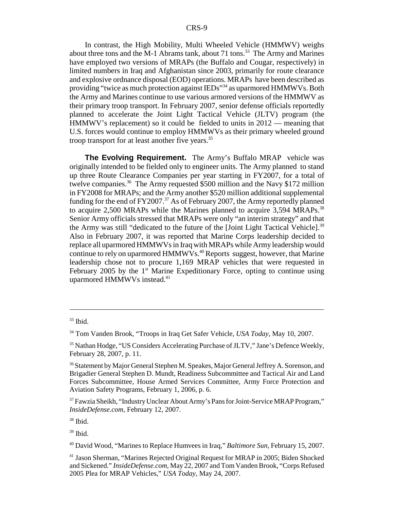In contrast, the High Mobility, Multi Wheeled Vehicle (HMMWV) weighs about three tons and the M-1 Abrams tank, about 71 tons.<sup>33</sup> The Army and Marines have employed two versions of MRAPs (the Buffalo and Cougar, respectively) in limited numbers in Iraq and Afghanistan since 2003, primarily for route clearance and explosive ordnance disposal (EOD) operations. MRAPs have been described as providing "twice as much protection against IEDs"<sup>34</sup> as uparmored HMMWVs. Both the Army and Marines continue to use various armored versions of the HMMWV as their primary troop transport. In February 2007, senior defense officials reportedly planned to accelerate the Joint Light Tactical Vehicle (JLTV) program (the HMMWV's replacement) so it could be fielded to units in 2012 — meaning that U.S. forces would continue to employ HMMWVs as their primary wheeled ground troop transport for at least another five years.<sup>35</sup>

**The Evolving Requirement.** The Army's Buffalo MRAP vehicle was originally intended to be fielded only to engineer units. The Army planned to stand up three Route Clearance Companies per year starting in FY2007, for a total of twelve companies.<sup>36</sup> The Army requested \$500 million and the Navy \$172 million in FY2008 for MRAPs; and the Army another \$520 million additional supplemental funding for the end of  $FY2007<sup>37</sup>$  As of February 2007, the Army reportedly planned to acquire 2,500 MRAPs while the Marines planned to acquire 3,594 MRAPs.<sup>38</sup> Senior Army officials stressed that MRAPs were only "an interim strategy" and that the Army was still "dedicated to the future of the [Joint Light Tactical Vehicle].<sup>39</sup> Also in February 2007, it was reported that Marine Corps leadership decided to replace all uparmored HMMWVs in Iraq with MRAPs while Army leadership would continue to rely on uparmored HMMWVs.<sup>40</sup> Reports suggest, however, that Marine leadership chose not to procure 1,169 MRAP vehicles that were requested in February 2005 by the  $1<sup>st</sup>$  Marine Expeditionary Force, opting to continue using uparmored HMMWVs instead.<sup>41</sup>

38 Ibid.

 $33$  Ibid.

<sup>34</sup> Tom Vanden Brook, "Troops in Iraq Get Safer Vehicle, *USA Today,* May 10, 2007.

<sup>35</sup> Nathan Hodge, "US Considers Accelerating Purchase of JLTV," Jane's Defence Weekly, February 28, 2007, p. 11.

<sup>&</sup>lt;sup>36</sup> Statement by Major General Stephen M. Speakes, Major General Jeffrey A. Sorenson, and Brigadier General Stephen D. Mundt, Readiness Subcommittee and Tactical Air and Land Forces Subcommittee, House Armed Services Committee, Army Force Protection and Aviation Safety Programs, February 1, 2006, p. 6.

<sup>&</sup>lt;sup>37</sup> Fawzia Sheikh, "Industry Unclear About Army's Pans for Joint-Service MRAP Program," *InsideDefense.com,* February 12, 2007.

<sup>39</sup> Ibid.

<sup>40</sup> David Wood, "Marines to Replace Humvees in Iraq," *Baltimore Sun,* February 15, 2007.

<sup>41</sup> Jason Sherman, "Marines Rejected Original Request for MRAP in 2005; Biden Shocked and Sickened." *InsideDefense.com,* May 22, 2007 and Tom Vanden Brook, "Corps Refused 2005 Plea for MRAP Vehicles," *USA Today,* May 24, 2007.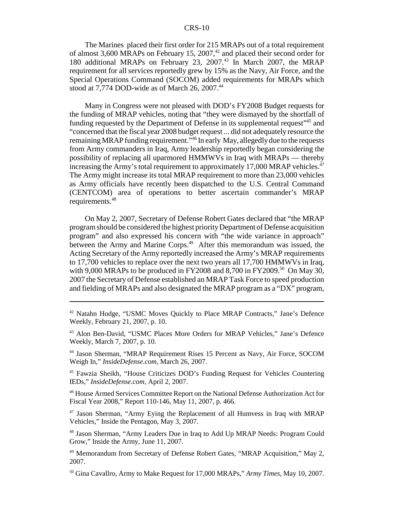#### CRS-10

The Marines placed their first order for 215 MRAPs out of a total requirement of almost 3,600 MRAPs on February 15, 2007,<sup>42</sup> and placed their second order for 180 additional MRAPs on February 23, 2007.<sup>43</sup> In March 2007, the MRAP requirement for all services reportedly grew by 15% as the Navy, Air Force, and the Special Operations Command (SOCOM) added requirements for MRAPs which stood at 7,774 DOD-wide as of March 26, 2007.<sup>44</sup>

Many in Congress were not pleased with DOD's FY2008 Budget requests for the funding of MRAP vehicles, noting that "they were dismayed by the shortfall of funding requested by the Department of Defense in its supplemental request<sup>145</sup> and "concerned that the fiscal year 2008 budget request ... did not adequately resource the remaining MRAP funding requirement.<sup>346</sup> In early May, allegedly due to the requests from Army commanders in Iraq, Army leadership reportedly began considering the possibility of replacing all uparmored HMMWVs in Iraq with MRAPs — thereby increasing the Army's total requirement to approximately 17,000 MRAP vehicles.<sup>47</sup> The Army might increase its total MRAP requirement to more than 23,000 vehicles as Army officials have recently been dispatched to the U.S. Central Command (CENTCOM) area of operations to better ascertain commander's MRAP requirements.<sup>48</sup>

On May 2, 2007, Secretary of Defense Robert Gates declared that "the MRAP program should be considered the highest priority Department of Defense acquisition program" and also expressed his concern with "the wide variance in approach" between the Army and Marine Corps.<sup>49</sup> After this memorandum was issued, the Acting Secretary of the Army reportedly increased the Army's MRAP requirements to 17,700 vehicles to replace over the next two years all 17,700 HMMWVs in Iraq, with 9,000 MRAPs to be produced in FY2008 and 8,700 in FY2009.<sup>50</sup> On May 30, 2007 the Secretary of Defense established an MRAP Task Force to speed production and fielding of MRAPs and also designated the MRAP program as a "DX" program,

45 Fawzia Sheikh, "House Criticizes DOD's Funding Request for Vehicles Countering IEDs," *InsideDefense.com,* April 2, 2007.

46 House Armed Services Committee Report on the National Defense Authorization Act for Fiscal Year 2008," Report 110-146, May 11, 2007, p. 466.

47 Jason Sherman, "Army Eying the Replacement of all Humvess in Iraq with MRAP Vehicles," Inside the Pentagon, May 3, 2007.

48 Jason Sherman, "Army Leaders Due in Iraq to Add Up MRAP Needs: Program Could Grow," Inside the Army, June 11, 2007.

<sup>49</sup> Memorandum from Secretary of Defense Robert Gates, "MRAP Acquisition," May 2, 2007.

50 Gina Cavallro, Army to Make Request for 17,000 MRAPs," *Army Times,* May 10, 2007.

<sup>42</sup> Natahn Hodge, "USMC Moves Quickly to Place MRAP Contracts," Jane's Defence Weekly, February 21, 2007, p. 10.

<sup>43</sup> Alon Ben-David, "USMC Places More Orders for MRAP Vehicles," Jane's Defence Weekly, March 7, 2007, p. 10.

<sup>44</sup> Jason Sherman, "MRAP Requirement Rises 15 Percent as Navy, Air Force, SOCOM Weigh In," *InsideDefense.com,* March 26, 2007.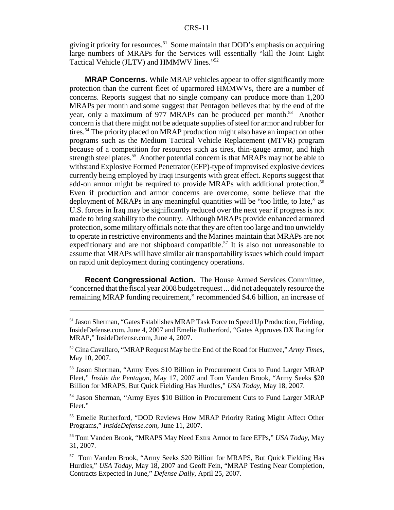giving it priority for resources.<sup>51</sup> Some maintain that DOD's emphasis on acquiring large numbers of MRAPs for the Services will essentially "kill the Joint Light Tactical Vehicle (JLTV) and HMMWV lines."52

**MRAP Concerns.** While MRAP vehicles appear to offer significantly more protection than the current fleet of uparmored HMMWVs, there are a number of concerns. Reports suggest that no single company can produce more than 1,200 MRAPs per month and some suggest that Pentagon believes that by the end of the year, only a maximum of 977 MRAPs can be produced per month.<sup>53</sup> Another concern is that there might not be adequate supplies of steel for armor and rubber for tires.<sup>54</sup> The priority placed on MRAP production might also have an impact on other programs such as the Medium Tactical Vehicle Replacement (MTVR) program because of a competition for resources such as tires, thin-gauge armor, and high strength steel plates.<sup>55</sup> Another potential concern is that MRAPs may not be able to withstand Explosive Formed Penetrator (EFP)-type of improvised explosive devices currently being employed by Iraqi insurgents with great effect. Reports suggest that add-on armor might be required to provide MRAPs with additional protection.<sup>56</sup> Even if production and armor concerns are overcome, some believe that the deployment of MRAPs in any meaningful quantities will be "too little, to late," as U.S. forces in Iraq may be significantly reduced over the next year if progress is not made to bring stability to the country. Although MRAPs provide enhanced armored protection, some military officials note that they are often too large and too unwieldy to operate in restrictive environments and the Marines maintain that MRAPs are not expeditionary and are not shipboard compatible.<sup>57</sup> It is also not unreasonable to assume that MRAPs will have similar air transportability issues which could impact on rapid unit deployment during contingency operations.

**Recent Congressional Action.** The House Armed Services Committee, "concerned that the fiscal year 2008 budget request ... did not adequately resource the remaining MRAP funding requirement," recommended \$4.6 billion, an increase of

54 Jason Sherman, "Army Eyes \$10 Billion in Procurement Cuts to Fund Larger MRAP Fleet."

55 Emelie Rutherford, "DOD Reviews How MRAP Priority Rating Might Affect Other Programs," *InsideDefense.com,* June 11, 2007.

56 Tom Vanden Brook, "MRAPS May Need Extra Armor to face EFPs," *USA Today,* May 31, 2007.

<sup>51</sup> Jason Sherman, "Gates Establishes MRAP Task Force to Speed Up Production, Fielding, InsideDefense.com, June 4, 2007 and Emelie Rutherford, "Gates Approves DX Rating for MRAP," InsideDefense.com, June 4, 2007.

<sup>52</sup> Gina Cavallaro, "MRAP Request May be the End of the Road for Humvee," *Army Times,* May 10, 2007.

<sup>53</sup> Jason Sherman, "Army Eyes \$10 Billion in Procurement Cuts to Fund Larger MRAP Fleet," *Inside the Pentagon,* May 17, 2007 and Tom Vanden Brook, "Army Seeks \$20 Billion for MRAPS, But Quick Fielding Has Hurdles," *USA Today,* May 18, 2007.

<sup>57</sup> Tom Vanden Brook, "Army Seeks \$20 Billion for MRAPS, But Quick Fielding Has Hurdles," *USA Today,* May 18, 2007 and Geoff Fein, "MRAP Testing Near Completion, Contracts Expected in June," *Defense Daily,* April 25, 2007.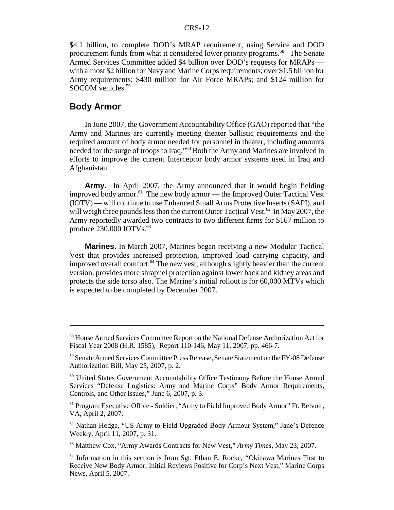#### CRS-12

\$4.1 billion, to complete DOD's MRAP requirement, using Service and DOD procurement funds from what it considered lower priority programs.<sup>58</sup> The Senate Armed Services Committee added \$4 billion over DOD's requests for MRAPs with almost \$2 billion for Navy and Marine Corps requirements; over \$1.5 billion for Army requirements; \$430 million for Air Force MRAPs; and \$124 million for SOCOM vehicles.<sup>59</sup>

#### **Body Armor**

In June 2007, the Government Accountability Office (GAO) reported that "the Army and Marines are currently meeting theater ballistic requirements and the required amount of body armor needed for personnel in theater, including amounts needed for the surge of troops to Iraq."60 Both the Army and Marines are involved in efforts to improve the current Interceptor body armor systems used in Iraq and Afghanistan.

**Army.** In April 2007, the Army announced that it would begin fielding improved body armor.<sup>61</sup> The new body armor — the Improved Outer Tactical Vest (IOTV) — will continue to use Enhanced Small Arms Protective Inserts (SAPI), and will weigh three pounds less than the current Outer Tactical Vest.<sup>62</sup> In May 2007, the Army reportedly awarded two contracts to two different firms for \$167 million to produce  $230,000$  IOTVs.<sup>63</sup>

**Marines.** In March 2007, Marines began receiving a new Modular Tactical Vest that provides increased protection, improved load carrying capacity, and improved overall comfort.<sup>64</sup> The new vest, although slightly heavier than the current version, provides more shrapnel protection against lower back and kidney areas and protects the side torso also. The Marine's initial rollout is for 60,000 MTVs which is expected to be completed by December 2007.

<sup>&</sup>lt;sup>58</sup> House Armed Services Committee Report on the National Defense Authorization Act for Fiscal Year 2008 (H.R. 1585), Report 110-146, May 11, 2007, pp. 466-7.

<sup>59</sup> Senate Armed Services Committee Press Release, Senate Statement on the FY-08 Defense Authorization Bill, May 25, 2007, p. 2.

<sup>60</sup> United States Government Accountability Office Testimony Before the House Armed Services "Defense Logistics: Army and Marine Corps" Body Armor Requirements, Controls, and Other Issues," June 6, 2007, p. 3.

<sup>&</sup>lt;sup>61</sup> Program Executive Office - Soldier, "Army to Field Improved Body Armor" Ft. Belvoir, VA, April 2, 2007.

<sup>62</sup> Nathan Hodge, "US Army to Field Upgraded Body Armour System," Jane's Defence Weekly, April 11, 2007, p. 31.

<sup>63</sup> Matthew Cox, "Army Awards Contracts for New Vest," *Army Times,* May 23, 2007.

<sup>64</sup> Information in this section is from Sgt. Ethan E. Rocke, "Okinawa Marines First to Receive New Body Armor; Initial Reviews Positive for Corp's Next Vest," Marine Corps News, April 5, 2007.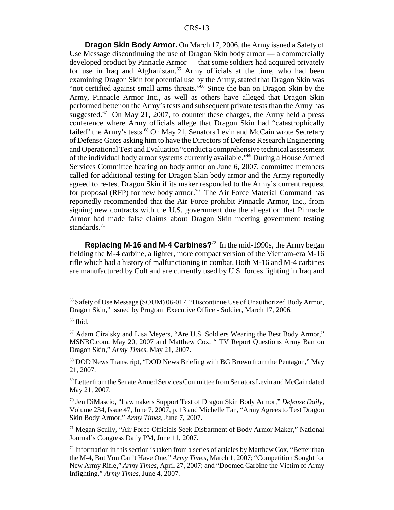**Dragon Skin Body Armor.** On March 17, 2006, the Army issued a Safety of Use Message discontinuing the use of Dragon Skin body armor — a commercially developed product by Pinnacle Armor — that some soldiers had acquired privately for use in Iraq and Afghanistan.<sup>65</sup> Army officials at the time, who had been examining Dragon Skin for potential use by the Army, stated that Dragon Skin was "not certified against small arms threats."66 Since the ban on Dragon Skin by the Army, Pinnacle Armor Inc., as well as others have alleged that Dragon Skin performed better on the Army's tests and subsequent private tests than the Army has suggested.<sup>67</sup> On May 21, 2007, to counter these charges, the Army held a press conference where Army officials allege that Dragon Skin had "catastrophically failed" the Army's tests.<sup>68</sup> On May 21, Senators Levin and McCain wrote Secretary of Defense Gates asking him to have the Directors of Defense Research Engineering and Operational Test and Evaluation "conduct a comprehensive technical assessment of the individual body armor systems currently available."69 During a House Armed Services Committee hearing on body armor on June 6, 2007, committee members called for additional testing for Dragon Skin body armor and the Army reportedly agreed to re-test Dragon Skin if its maker responded to the Army's current request for proposal (RFP) for new body armor.<sup>70</sup> The Air Force Material Command has reportedly recommended that the Air Force prohibit Pinnacle Armor, Inc., from signing new contracts with the U.S. government due the allegation that Pinnacle Armor had made false claims about Dragon Skin meeting government testing standards.<sup>71</sup>

**Replacing M-16 and M-4 Carbines?**72 In the mid-1990s, the Army began fielding the M-4 carbine, a lighter, more compact version of the Vietnam-era M-16 rifle which had a history of malfunctioning in combat. Both M-16 and M-4 carbines are manufactured by Colt and are currently used by U.S. forces fighting in Iraq and

68 DOD News Transcript, "DOD News Briefing with BG Brown from the Pentagon," May 21, 2007.

69 Letter from the Senate Armed Services Committee from Senators Levin and McCain dated May 21, 2007.

70 Jen DiMascio, "Lawmakers Support Test of Dragon Skin Body Armor," *Defense Daily,* Volume 234, Issue 47, June 7, 2007, p. 13 and Michelle Tan, "Army Agrees to Test Dragon Skin Body Armor," *Army Times,* June 7, 2007.

71 Megan Scully, "Air Force Officials Seek Disbarment of Body Armor Maker," National Journal's Congress Daily PM, June 11, 2007.

<sup>65</sup> Safety of Use Message (SOUM) 06-017, "Discontinue Use of Unauthorized Body Armor, Dragon Skin," issued by Program Executive Office - Soldier, March 17, 2006.

 $66$  Ibid.

<sup>67</sup> Adam Ciralsky and Lisa Meyers, "Are U.S. Soldiers Wearing the Best Body Armor," MSNBC.com, May 20, 2007 and Matthew Cox, " TV Report Questions Army Ban on Dragon Skin," *Army Times,* May 21, 2007.

 $72$  Information in this section is taken from a series of articles by Matthew Cox, "Better than the M-4, But You Can't Have One," *Army Times,* March 1, 2007; "Competition Sought for New Army Rifle," *Army Times,* April 27, 2007; and "Doomed Carbine the Victim of Army Infighting," *Army Times,* June 4, 2007.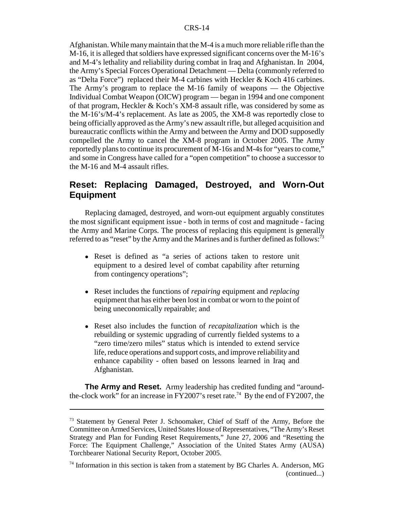Afghanistan. While many maintain that the M-4 is a much more reliable rifle than the M-16, it is alleged that soldiers have expressed significant concerns over the M-16's and M-4's lethality and reliability during combat in Iraq and Afghanistan. In 2004, the Army's Special Forces Operational Detachment — Delta (commonly referred to as "Delta Force") replaced their M-4 carbines with Heckler  $&$  Koch 416 carbines. The Army's program to replace the M-16 family of weapons — the Objective Individual Combat Weapon (OICW) program — began in 1994 and one component of that program, Heckler & Koch's XM-8 assault rifle, was considered by some as the M-16's/M-4's replacement. As late as 2005, the XM-8 was reportedly close to being officially approved as the Army's new assault rifle, but alleged acquisition and bureaucratic conflicts within the Army and between the Army and DOD supposedly compelled the Army to cancel the XM-8 program in October 2005. The Army reportedly plans to continue its procurement of M-16s and M-4s for "years to come," and some in Congress have called for a "open competition" to choose a successor to the M-16 and M-4 assault rifles.

## **Reset: Replacing Damaged, Destroyed, and Worn-Out Equipment**

Replacing damaged, destroyed, and worn-out equipment arguably constitutes the most significant equipment issue - both in terms of cost and magnitude - facing the Army and Marine Corps. The process of replacing this equipment is generally referred to as "reset" by the Army and the Marines and is further defined as follows:<sup>73</sup>

- ! Reset is defined as "a series of actions taken to restore unit equipment to a desired level of combat capability after returning from contingency operations";
- ! Reset includes the functions of *repairing* equipment and *replacing* equipment that has either been lost in combat or worn to the point of being uneconomically repairable; and
- ! Reset also includes the function of *recapitalization* which is the rebuilding or systemic upgrading of currently fielded systems to a "zero time/zero miles" status which is intended to extend service life, reduce operations and support costs, and improve reliability and enhance capability - often based on lessons learned in Iraq and Afghanistan.

**The Army and Reset.** Army leadership has credited funding and "aroundthe-clock work" for an increase in FY2007's reset rate.74 By the end of FY2007, the

<sup>&</sup>lt;sup>73</sup> Statement by General Peter J. Schoomaker, Chief of Staff of the Army, Before the Committee on Armed Services, United States House of Representatives, "The Army's Reset Strategy and Plan for Funding Reset Requirements," June 27, 2006 and "Resetting the Force: The Equipment Challenge," Association of the United States Army (AUSA) Torchbearer National Security Report, October 2005.

 $74$  Information in this section is taken from a statement by BG Charles A. Anderson, MG (continued...)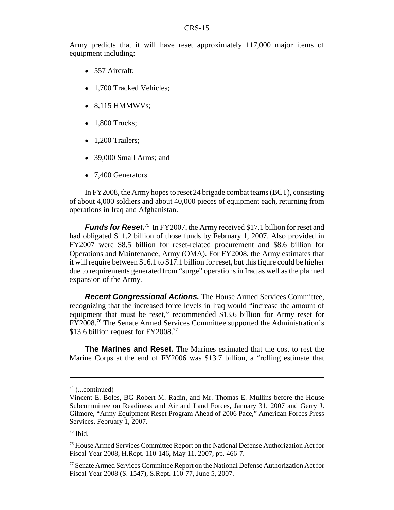Army predicts that it will have reset approximately 117,000 major items of equipment including:

- 557 Aircraft;
- 1,700 Tracked Vehicles;
- $\bullet$  8,115 HMMWVs;
- $\bullet$  1,800 Trucks;
- $\bullet$  1,200 Trailers;
- 39,000 Small Arms; and
- 7,400 Generators.

In FY2008, the Army hopes to reset 24 brigade combat teams (BCT), consisting of about 4,000 soldiers and about 40,000 pieces of equipment each, returning from operations in Iraq and Afghanistan.

*Funds for Reset.*<sup>75</sup> In FY2007, the Army received \$17.1 billion for reset and had obligated \$11.2 billion of those funds by February 1, 2007. Also provided in FY2007 were \$8.5 billion for reset-related procurement and \$8.6 billion for Operations and Maintenance, Army (OMA). For FY2008, the Army estimates that it will require between \$16.1 to \$17.1 billion for reset, but this figure could be higher due to requirements generated from "surge" operations in Iraq as well as the planned expansion of the Army.

*Recent Congressional Actions.* The House Armed Services Committee, recognizing that the increased force levels in Iraq would "increase the amount of equipment that must be reset," recommended \$13.6 billion for Army reset for FY2008.76 The Senate Armed Services Committee supported the Administration's \$13.6 billion request for FY2008.<sup>77</sup>

**The Marines and Reset.** The Marines estimated that the cost to rest the Marine Corps at the end of FY2006 was \$13.7 billion, a "rolling estimate that

 $74$  (...continued)

Vincent E. Boles, BG Robert M. Radin, and Mr. Thomas E. Mullins before the House Subcommittee on Readiness and Air and Land Forces, January 31, 2007 and Gerry J. Gilmore, "Army Equipment Reset Program Ahead of 2006 Pace," American Forces Press Services, February 1, 2007.

 $75$  Ibid.

<sup>76</sup> House Armed Services Committee Report on the National Defense Authorization Act for Fiscal Year 2008, H.Rept. 110-146, May 11, 2007, pp. 466-7.

<sup>77</sup> Senate Armed Services Committee Report on the National Defense Authorization Act for Fiscal Year 2008 (S. 1547), S.Rept. 110-77, June 5, 2007.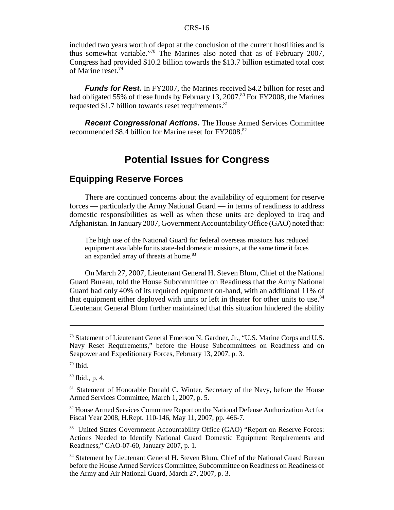#### CRS-16

included two years worth of depot at the conclusion of the current hostilities and is thus somewhat variable."78 The Marines also noted that as of February 2007, Congress had provided \$10.2 billion towards the \$13.7 billion estimated total cost of Marine reset.79

*Funds for Rest.* In FY2007, the Marines received \$4.2 billion for reset and had obligated 55% of these funds by February 13, 2007.<sup>80</sup> For FY2008, the Marines requested  $$1.7$  billion towards reset requirements.<sup>81</sup>

*Recent Congressional Actions.* The House Armed Services Committee recommended \$8.4 billion for Marine reset for FY2008.<sup>82</sup>

## **Potential Issues for Congress**

## **Equipping Reserve Forces**

There are continued concerns about the availability of equipment for reserve forces — particularly the Army National Guard — in terms of readiness to address domestic responsibilities as well as when these units are deployed to Iraq and Afghanistan. In January 2007, Government Accountability Office (GAO) noted that:

The high use of the National Guard for federal overseas missions has reduced equipment available for its state-led domestic missions, at the same time it faces an expanded array of threats at home.<sup>83</sup>

On March 27, 2007, Lieutenant General H. Steven Blum, Chief of the National Guard Bureau, told the House Subcommittee on Readiness that the Army National Guard had only 40% of its required equipment on-hand, with an additional 11% of that equipment either deployed with units or left in theater for other units to use.<sup>84</sup> Lieutenant General Blum further maintained that this situation hindered the ability

<sup>78</sup> Statement of Lieutenant General Emerson N. Gardner, Jr., "U.S. Marine Corps and U.S. Navy Reset Requirements," before the House Subcommittees on Readiness and on Seapower and Expeditionary Forces, February 13, 2007, p. 3.

 $79$  Ibid.

<sup>80</sup> Ibid., p. 4.

<sup>&</sup>lt;sup>81</sup> Statement of Honorable Donald C. Winter, Secretary of the Navy, before the House Armed Services Committee, March 1, 2007, p. 5.

<sup>&</sup>lt;sup>82</sup> House Armed Services Committee Report on the National Defense Authorization Act for Fiscal Year 2008, H.Rept. 110-146, May 11, 2007, pp. 466-7.

<sup>83</sup> United States Government Accountability Office (GAO) "Report on Reserve Forces: Actions Needed to Identify National Guard Domestic Equipment Requirements and Readiness," GAO-07-60, January 2007, p. 1.

<sup>84</sup> Statement by Lieutenant General H. Steven Blum, Chief of the National Guard Bureau before the House Armed Services Committee, Subcommittee on Readiness on Readiness of the Army and Air National Guard, March 27, 2007, p. 3.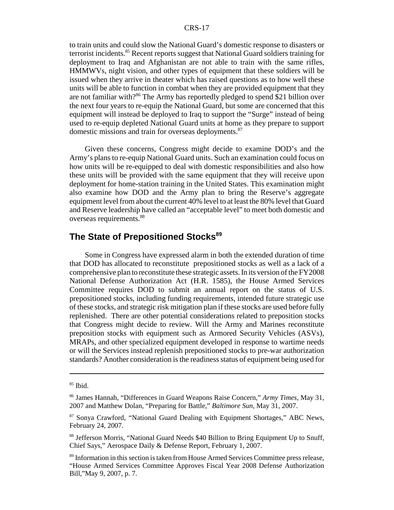#### CRS-17

to train units and could slow the National Guard's domestic response to disasters or terrorist incidents.<sup>85</sup> Recent reports suggest that National Guard soldiers training for deployment to Iraq and Afghanistan are not able to train with the same rifles, HMMWVs, night vision, and other types of equipment that these soldiers will be issued when they arrive in theater which has raised questions as to how well these units will be able to function in combat when they are provided equipment that they are not familiar with?<sup>86</sup> The Army has reportedly pledged to spend \$21 billion over the next four years to re-equip the National Guard, but some are concerned that this equipment will instead be deployed to Iraq to support the "Surge" instead of being used to re-equip depleted National Guard units at home as they prepare to support domestic missions and train for overseas deployments.<sup>87</sup>

Given these concerns, Congress might decide to examine DOD's and the Army's plans to re-equip National Guard units. Such an examination could focus on how units will be re-equipped to deal with domestic responsibilities and also how these units will be provided with the same equipment that they will receive upon deployment for home-station training in the United States. This examination might also examine how DOD and the Army plan to bring the Reserve's aggregate equipment level from about the current 40% level to at least the 80% level that Guard and Reserve leadership have called an "acceptable level" to meet both domestic and overseas requirements.<sup>88</sup>

## **The State of Prepositioned Stocks<sup>89</sup>**

Some in Congress have expressed alarm in both the extended duration of time that DOD has allocated to reconstitute prepositioned stocks as well as a lack of a comprehensive plan to reconstitute these strategic assets. In its version of the FY2008 National Defense Authorization Act (H.R. 1585), the House Armed Services Committee requires DOD to submit an annual report on the status of U.S. prepositioned stocks, including funding requirements, intended future strategic use of these stocks, and strategic risk mitigation plan if these stocks are used before fully replenished. There are other potential considerations related to preposition stocks that Congress might decide to review. Will the Army and Marines reconstitute preposition stocks with equipment such as Armored Security Vehicles (ASVs), MRAPs, and other specialized equipment developed in response to wartime needs or will the Services instead replenish prepositioned stocks to pre-war authorization standards? Another consideration is the readiness status of equipment being used for

 $85$  Ibid.

<sup>86</sup> James Hannah, "Differences in Guard Weapons Raise Concern," *Army Times,* May 31, 2007 and Matthew Dolan, "Preparing for Battle," *Baltimore Sun,* May 31, 2007.

<sup>87</sup> Sonya Crawford, "National Guard Dealing with Equipment Shortages," ABC News, February 24, 2007.

<sup>&</sup>lt;sup>88</sup> Jefferson Morris, "National Guard Needs \$40 Billion to Bring Equipment Up to Snuff, Chief Says," Aerospace Daily & Defense Report, February 1, 2007.

<sup>&</sup>lt;sup>89</sup> Information in this section is taken from House Armed Services Committee press release, "House Armed Services Committee Approves Fiscal Year 2008 Defense Authorization Bill,"May 9, 2007, p. 7.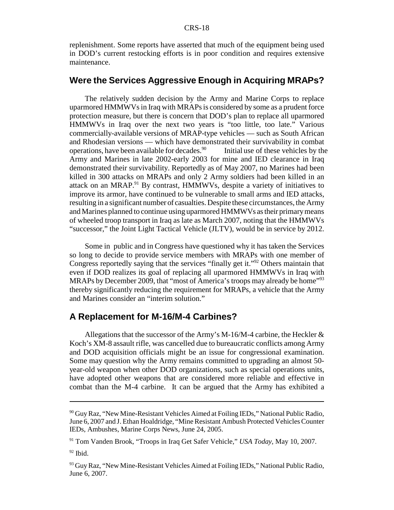replenishment. Some reports have asserted that much of the equipment being used in DOD's current restocking efforts is in poor condition and requires extensive maintenance.

#### **Were the Services Aggressive Enough in Acquiring MRAPs?**

The relatively sudden decision by the Army and Marine Corps to replace uparmored HMMWVs in Iraq with MRAPs is considered by some as a prudent force protection measure, but there is concern that DOD's plan to replace all uparmored HMMWVs in Iraq over the next two years is "too little, too late." Various commercially-available versions of MRAP-type vehicles — such as South African and Rhodesian versions — which have demonstrated their survivability in combat operations, have been available for decades. $90$  Initial use of these vehicles by the Army and Marines in late 2002-early 2003 for mine and IED clearance in Iraq demonstrated their survivability. Reportedly as of May 2007, no Marines had been killed in 300 attacks on MRAPs and only 2 Army soldiers had been killed in an attack on an MRAP.<sup>91</sup> By contrast, HMMWVs, despite a variety of initiatives to improve its armor, have continued to be vulnerable to small arms and IED attacks, resulting in a significant number of casualties. Despite these circumstances, the Army and Marines planned to continue using uparmored HMMWVs as their primary means of wheeled troop transport in Iraq as late as March 2007, noting that the HMMWVs "successor," the Joint Light Tactical Vehicle (JLTV), would be in service by 2012.

Some in public and in Congress have questioned why it has taken the Services so long to decide to provide service members with MRAPs with one member of Congress reportedly saying that the services "finally get it."92 Others maintain that even if DOD realizes its goal of replacing all uparmored HMMWVs in Iraq with MRAPs by December 2009, that "most of America's troops may already be home"<sup>93</sup> thereby significantly reducing the requirement for MRAPs, a vehicle that the Army and Marines consider an "interim solution."

#### **A Replacement for M-16/M-4 Carbines?**

Allegations that the successor of the Army's M-16/M-4 carbine, the Heckler  $\&$ Koch's XM-8 assault rifle, was cancelled due to bureaucratic conflicts among Army and DOD acquisition officials might be an issue for congressional examination. Some may question why the Army remains committed to upgrading an almost 50 year-old weapon when other DOD organizations, such as special operations units, have adopted other weapons that are considered more reliable and effective in combat than the M-4 carbine. It can be argued that the Army has exhibited a

<sup>&</sup>lt;sup>90</sup> Guy Raz, "New Mine-Resistant Vehicles Aimed at Foiling IEDs," National Public Radio, June 6, 2007 and J. Ethan Hoaldridge, "Mine Resistant Ambush Protected Vehicles Counter IEDs, Ambushes, Marine Corps News, June 24, 2005.

<sup>91</sup> Tom Vanden Brook, "Troops in Iraq Get Safer Vehicle," *USA Today,* May 10, 2007.

 $92$  Ibid.

 $93$  Guy Raz, "New Mine-Resistant Vehicles Aimed at Foiling IEDs," National Public Radio, June 6, 2007.